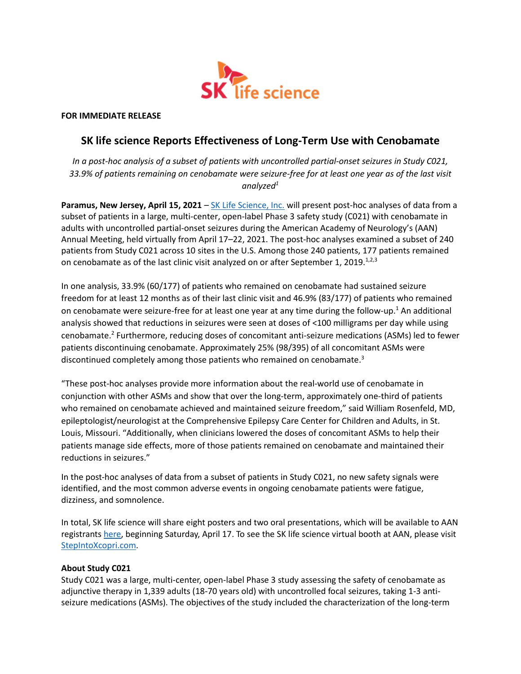

**FOR IMMEDIATE RELEASE**

# **SK life science Reports Effectiveness of Long-Term Use with Cenobamate**

*In a post-hoc analysis of a subset of patients with uncontrolled partial-onset seizures in Study C021, 33.9% of patients remaining on cenobamate were seizure-free for at least one year as of the last visit analyzed<sup>1</sup>*

**Paramus, New Jersey, April 15, 2021** – [SK Life Science, Inc.](https://www.sklifescienceinc.com/) will present post-hoc analyses of data from a subset of patients in a large, multi-center, open-label Phase 3 safety study (C021) with cenobamate in adults with uncontrolled partial-onset seizures during the American Academy of Neurology's (AAN) Annual Meeting, held virtually from April 17–22, 2021. The post-hoc analyses examined a subset of 240 patients from Study C021 across 10 sites in the U.S. Among those 240 patients, 177 patients remained on cenobamate as of the last clinic visit analyzed on or after September 1, 2019.<sup>1,2,3</sup>

In one analysis, 33.9% (60/177) of patients who remained on cenobamate had sustained seizure freedom for at least 12 months as of their last clinic visit and 46.9% (83/177) of patients who remained on cenobamate were seizure-free for at least one year at any time during the follow-up.<sup>1</sup> An additional analysis showed that reductions in seizures were seen at doses of <100 milligrams per day while using cenobamate.<sup>2</sup> Furthermore, reducing doses of concomitant anti-seizure medications (ASMs) led to fewer patients discontinuing cenobamate. Approximately 25% (98/395) of all concomitant ASMs were discontinued completely among those patients who remained on cenobamate.<sup>3</sup>

"These post-hoc analyses provide more information about the real-world use of cenobamate in conjunction with other ASMs and show that over the long-term, approximately one-third of patients who remained on cenobamate achieved and maintained seizure freedom," said William Rosenfeld, MD, epileptologist/neurologist at the Comprehensive Epilepsy Care Center for Children and Adults, in St. Louis, Missouri. "Additionally, when clinicians lowered the doses of concomitant ASMs to help their patients manage side effects, more of those patients remained on cenobamate and maintained their reductions in seizures."

In the post-hoc analyses of data from a subset of patients in Study C021, no new safety signals were identified, and the most common adverse events in ongoing cenobamate patients were fatigue, dizziness, and somnolence.

In total, SK life science will share eight posters and two oral presentations, which will be available to AAN registrants [here,](https://www.aan.com/conferences-community/annual-meeting/) beginning Saturday, April 17. To see the SK life science virtual booth at AAN, please visit [StepIntoXcopri.com.](https://stepintoxcopri.com/)

## **About Study C021**

Study C021 was a large, multi-center, open-label Phase 3 study assessing the safety of cenobamate as adjunctive therapy in 1,339 adults (18-70 years old) with uncontrolled focal seizures, taking 1-3 antiseizure medications (ASMs). The objectives of the study included the characterization of the long-term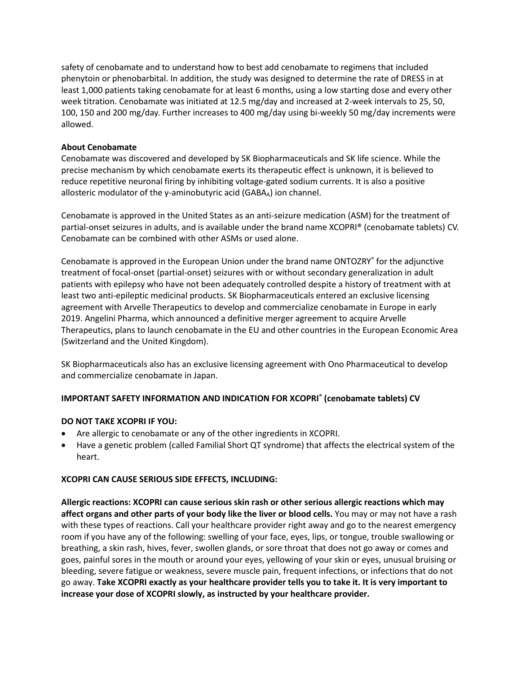safety of cenobamate and to understand how to best add cenobamate to regimens that included phenytoin or phenobarbital. In addition, the study was designed to determine the rate of DRESS in at least 1,000 patients taking cenobamate for at least 6 months, using a low starting dose and every other week titration. Cenobamate was initiated at 12.5 mg/day and increased at 2-week intervals to 25, 50, 100, 150 and 200 mg/day. Further increases to 400 mg/day using bi-weekly 50 mg/day increments were allowed.

#### **About Cenobamate**

Cenobamate was discovered and developed by SK Biopharmaceuticals and SK life science. While the precise mechanism by which cenobamate exerts its therapeutic effect is unknown, it is believed to reduce repetitive neuronal firing by inhibiting voltage-gated sodium currents. It is also a positive allosteric modulator of the  $\gamma$ -aminobutyric acid (GABA<sub>A</sub>) ion channel.

Cenobamate is approved in the United States as an anti-seizure medication (ASM) for the treatment of partial-onset seizures in adults, and is available under the brand name XCOPRI® (cenobamate tablets) CV. Cenobamate can be combined with other ASMs or used alone.

Cenobamate is approved in the European Union under the brand name ONTOZRY<sup>®</sup> for the adjunctive treatment of focal-onset (partial-onset) seizures with or without secondary generalization in adult patients with epilepsy who have not been adequately controlled despite a history of treatment with at least two anti-epileptic medicinal products. SK Biopharmaceuticals entered an exclusive licensing agreement with Arvelle Therapeutics to develop and commercialize cenobamate in Europe in early 2019. Angelini Pharma, which announced a definitive merger agreement to acquire Arvelle Therapeutics, plans to launch cenobamate in the EU and other countries in the European Economic Area (Switzerland and the United Kingdom).

SK Biopharmaceuticals also has an exclusive licensing agreement with Ono Pharmaceutical to develop and commercialize cenobamate in Japan.

## **IMPORTANT SAFETY INFORMATION AND INDICATION FOR XCOPRI® (cenobamate tablets) CV**

## **DO NOT TAKE XCOPRI IF YOU:**

- Are allergic to cenobamate or any of the other ingredients in XCOPRI.
- Have a genetic problem (called Familial Short QT syndrome) that affects the electrical system of the heart.

## **XCOPRI CAN CAUSE SERIOUS SIDE EFFECTS, INCLUDING:**

**Allergic reactions: XCOPRI can cause serious skin rash or other serious allergic reactions which may affect organs and other parts of your body like the liver or blood cells.** You may or may not have a rash with these types of reactions. Call your healthcare provider right away and go to the nearest emergency room if you have any of the following: swelling of your face, eyes, lips, or tongue, trouble swallowing or breathing, a skin rash, hives, fever, swollen glands, or sore throat that does not go away or comes and goes, painful sores in the mouth or around your eyes, yellowing of your skin or eyes, unusual bruising or bleeding, severe fatigue or weakness, severe muscle pain, frequent infections, or infections that do not go away. **Take XCOPRI exactly as your healthcare provider tells you to take it. It is very important to increase your dose of XCOPRI slowly, as instructed by your healthcare provider.**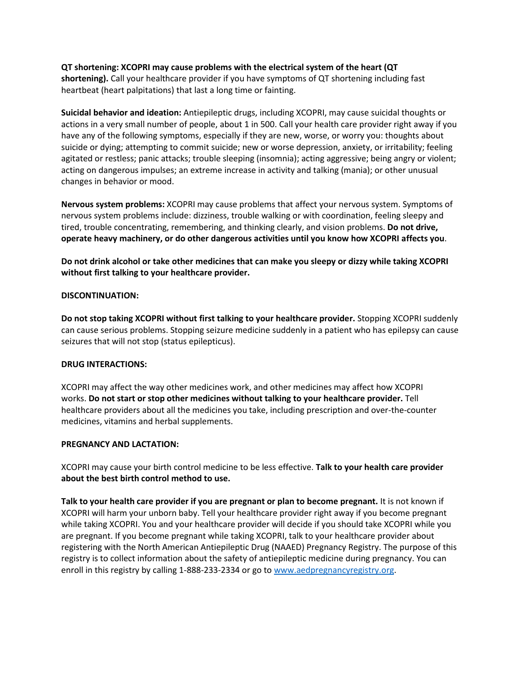## **QT shortening: XCOPRI may cause problems with the electrical system of the heart (QT**

**shortening).** Call your healthcare provider if you have symptoms of QT shortening including fast heartbeat (heart palpitations) that last a long time or fainting.

**Suicidal behavior and ideation:** Antiepileptic drugs, including XCOPRI, may cause suicidal thoughts or actions in a very small number of people, about 1 in 500. Call your health care provider right away if you have any of the following symptoms, especially if they are new, worse, or worry you: thoughts about suicide or dying; attempting to commit suicide; new or worse depression, anxiety, or irritability; feeling agitated or restless; panic attacks; trouble sleeping (insomnia); acting aggressive; being angry or violent; acting on dangerous impulses; an extreme increase in activity and talking (mania); or other unusual changes in behavior or mood.

**Nervous system problems:** XCOPRI may cause problems that affect your nervous system. Symptoms of nervous system problems include: dizziness, trouble walking or with coordination, feeling sleepy and tired, trouble concentrating, remembering, and thinking clearly, and vision problems. **Do not drive, operate heavy machinery, or do other dangerous activities until you know how XCOPRI affects you**.

**Do not drink alcohol or take other medicines that can make you sleepy or dizzy while taking XCOPRI without first talking to your healthcare provider.**

#### **DISCONTINUATION:**

**Do not stop taking XCOPRI without first talking to your healthcare provider.** Stopping XCOPRI suddenly can cause serious problems. Stopping seizure medicine suddenly in a patient who has epilepsy can cause seizures that will not stop (status epilepticus).

## **DRUG INTERACTIONS:**

XCOPRI may affect the way other medicines work, and other medicines may affect how XCOPRI works. **Do not start or stop other medicines without talking to your healthcare provider.** Tell healthcare providers about all the medicines you take, including prescription and over-the-counter medicines, vitamins and herbal supplements.

## **PREGNANCY AND LACTATION:**

XCOPRI may cause your birth control medicine to be less effective. **Talk to your health care provider about the best birth control method to use.**

**Talk to your health care provider if you are pregnant or plan to become pregnant.** It is not known if XCOPRI will harm your unborn baby. Tell your healthcare provider right away if you become pregnant while taking XCOPRI. You and your healthcare provider will decide if you should take XCOPRI while you are pregnant. If you become pregnant while taking XCOPRI, talk to your healthcare provider about registering with the North American Antiepileptic Drug (NAAED) Pregnancy Registry. The purpose of this registry is to collect information about the safety of antiepileptic medicine during pregnancy. You can enroll in this registry by calling 1-888-233-2334 or go to [www.aedpregnancyregistry.org.](https://c212.net/c/link/?t=0&l=en&o=2913906-1&h=4058501372&u=http%3A%2F%2Fwww.aedpregnancyregistry.org%2F&a=www.aedpregnancyregistry.org)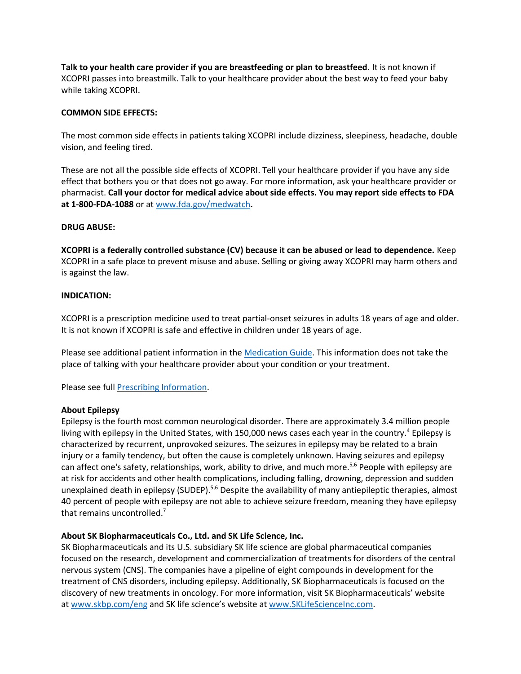**Talk to your health care provider if you are breastfeeding or plan to breastfeed.** It is not known if XCOPRI passes into breastmilk. Talk to your healthcare provider about the best way to feed your baby while taking XCOPRI.

#### **COMMON SIDE EFFECTS:**

The most common side effects in patients taking XCOPRI include dizziness, sleepiness, headache, double vision, and feeling tired.

These are not all the possible side effects of XCOPRI. Tell your healthcare provider if you have any side effect that bothers you or that does not go away. For more information, ask your healthcare provider or pharmacist. **Call your doctor for medical advice about side effects. You may report side effects to FDA at 1-800-FDA-1088** or at [www.fda.gov/medwatch](https://c212.net/c/link/?t=0&l=en&o=2913906-1&h=2986523842&u=http%3A%2F%2Fwww.fda.gov%2Fmedwatch&a=www.fda.gov%2Fmedwatch)**.** 

#### **DRUG ABUSE:**

**XCOPRI is a federally controlled substance (CV) because it can be abused or lead to dependence.** Keep XCOPRI in a safe place to prevent misuse and abuse. Selling or giving away XCOPRI may harm others and is against the law.

#### **INDICATION:**

XCOPRI is a prescription medicine used to treat partial-onset seizures in adults 18 years of age and older. It is not known if XCOPRI is safe and effective in children under 18 years of age.

Please see additional patient information in the [Medication Guide.](https://c212.net/c/link/?t=0&l=en&o=2913906-1&h=1217068686&u=https%3A%2F%2Fxcoprihcp.com%2Fresources%2Fpdf%2FSK_Med_Guide.pdf&a=Medication+Guide) This information does not take the place of talking with your healthcare provider about your condition or your treatment.

Please see full [Prescribing Information.](https://c212.net/c/link/?t=0&l=en&o=2913906-1&h=1209271965&u=https%3A%2F%2Fxcoprihcp.com%2Fresources%2Fpdf%2FSK_Prescribing_Information_Med_Guide_Combined.pdf&a=Prescribing+Information)

#### **About Epilepsy**

Epilepsy is the fourth most common neurological disorder. There are approximately 3.4 million people living with epilepsy in the United States, with 150,000 news cases each year in the country.<sup>4</sup> Epilepsy is characterized by recurrent, unprovoked seizures. The seizures in epilepsy may be related to a brain injury or a family tendency, but often the cause is completely unknown. Having seizures and epilepsy can affect one's safety, relationships, work, ability to drive, and much more.<sup>5,6</sup> People with epilepsy are at risk for accidents and other health complications, including falling, drowning, depression and sudden unexplained death in epilepsy (SUDEP).<sup>5,6</sup> Despite the availability of many antiepileptic therapies, almost 40 percent of people with epilepsy are not able to achieve seizure freedom, meaning they have epilepsy that remains uncontrolled.<sup>7</sup>

## **About SK Biopharmaceuticals Co., Ltd. and SK Life Science, Inc.**

SK Biopharmaceuticals and its U.S. subsidiary SK life science are global pharmaceutical companies focused on the research, development and commercialization of treatments for disorders of the central nervous system (CNS). The companies have a pipeline of eight compounds in development for the treatment of CNS disorders, including epilepsy. Additionally, SK Biopharmaceuticals is focused on the discovery of new treatments in oncology. For more information, visit SK Biopharmaceuticals' website at [www.skbp.com/eng](http://www.skbp.com/eng) and SK life science's website at [www.SKLifeScienceInc.com.](http://www.sklifescienceinc.com/)